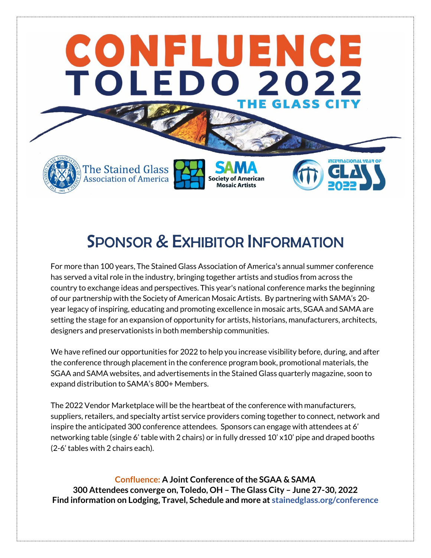

# SPONSOR & EXHIBITOR INFORMATION

For more than 100 years, The Stained Glass Association of America's annual summer conference has served a vital role in the industry, bringing together artists and studios from across the country to exchange ideas and perspectives. This year's national conference marks the beginning of our partnership with the Society of American Mosaic Artists. By partnering with SAMA's 20 year legacy of inspiring, educating and promoting excellence in mosaic arts, SGAA and SAMA are setting the stage for an expansion of opportunity for artists, historians, manufacturers, architects, designers and preservationists in both membership communities.

We have refined our opportunities for 2022 to help you increase visibility before, during, and after the conference through placement in the conference program book, promotional materials, the SGAA and SAMA websites, and advertisements in the Stained Glass quarterly magazine, soon to expand distribution to SAMA's 800+ Members.

The 2022 Vendor Marketplace will be the heartbeat of the conference with manufacturers, suppliers, retailers, and specialty artist service providers coming together to connect, network and inspire the anticipated 300 conference attendees. Sponsors can engage with attendees at 6' networking table (single 6' table with 2 chairs) or in fully dressed 10' x10' pipe and draped booths (2-6' tables with 2 chairs each).

**Confluence: A Joint Conference of the SGAA & SAMA 300 Attendees converge on, Toledo, OH – The Glass City – June 27-30, 2022 Find information on Lodging, Travel, Schedule and more at stainedglass.org/conference**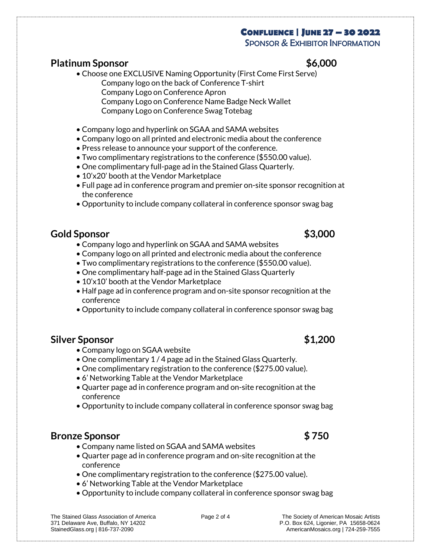### **CONFLUENCE | JUNE 27 – 30 2022**

SPONSOR & EXHIBITOR INFORMATION

### **Platinum Sponsor \$6,000**

- Choose one EXCLUSIVE Naming Opportunity (First Come First Serve) Company logo on the back of Conference T-shirt Company Logo on Conference Apron Company Logo on Conference Name Badge Neck Wallet Company Logo on Conference Swag Totebag
- Company logo and hyperlink on SGAA and SAMA websites
- Company logo on all printed and electronic media about the conference
- Press release to announce your support of the conference.
- Two complimentary registrations to the conference (\$550.00 value).
- One complimentary full-page ad in the Stained Glass Quarterly.
- 10'x20' booth at the Vendor Marketplace
- Full page ad in conference program and premier on-site sponsor recognition at the conference
- Opportunity to include company collateral in conference sponsor swag bag

### **Gold Sponsor \$3,000**

- Company logo and hyperlink on SGAA and SAMA websites
- Company logo on all printed and electronic media about the conference
- Two complimentary registrations to the conference (\$550.00 value).
- One complimentary half-page ad in the Stained Glass Quarterly
- 10'x10' booth at the Vendor Marketplace
- Half page ad in conference program and on-site sponsor recognition at the conference
- Opportunity to include company collateral in conference sponsor swag bag

### **Silver Sponsor \$1,200**

- Company logo on SGAA website
- One complimentary 1 / 4 page ad in the Stained Glass Quarterly.
- One complimentary registration to the conference (\$275.00 value).
- 6' Networking Table at the Vendor Marketplace
- Quarter page ad in conference program and on-site recognition at the conference
- Opportunity to include company collateral in conference sponsor swag bag

### **Bronze Sponsor \$ 750**

- Company name listed on SGAA and SAMA websites
- Quarter page ad in conference program and on-site recognition at the conference
- One complimentary registration to the conference (\$275.00 value).
- 6' Networking Table at the Vendor Marketplace
- Opportunity to include company collateral in conference sponsor swag bag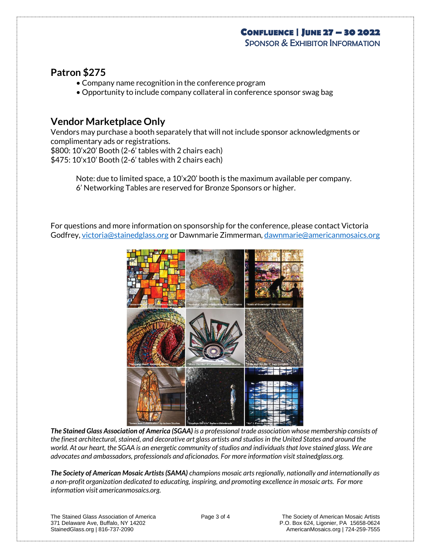### **CONFLUENCE | JUNE 27 – 30 2022**

SPONSOR & EXHIBITOR INFORMATION

### **Patron \$275**

- Company name recognition in the conference program
- Opportunity to include company collateral in conference sponsor swag bag

### **Vendor Marketplace Only**

Vendors may purchase a booth separately that will not include sponsor acknowledgments or complimentary ads or registrations.

\$800: 10'x20' Booth (2-6' tables with 2 chairs each)

\$475: 10'x10' Booth (2-6' tables with 2 chairs each)

Note: due to limited space, a 10'x20' booth is the maximum available per company. 6' Networking Tables are reserved for Bronze Sponsors or higher.

For questions and more information on sponsorship for the conference, please contact Victoria Godfrey[, victoria@stainedglass.org](mailto:victoria@stainedglass.org) or Dawnmarie Zimmerman[, dawnmarie@americanmosaics.org](mailto:dawnmarie@americanmosaics.org)



*The Stained Glass Association of America (SGAA) is a professional trade association whose membership consists of the finest architectural, stained, and decorative art glass artists and studios in the United States and around the world. At our heart, the SGAA is an energetic community of studios and individuals that love stained glass. We are advocates and ambassadors, professionals and aficionados. For more information visit stainedglass.org.* 

*The Society of American Mosaic Artists (SAMA) champions mosaic arts regionally, nationally and internationally as a non-profit organization dedicated to educating, inspiring, and promoting excellence in mosaic arts. For more information visit americanmosaics.org.* 

The Stained Glass Association of America **Page 3 of 4** The Society of American Mosaic Artists<br>371 Delaware Ave, Buffalo, NY 14202 **P.O. Box 624, Ligonier, PA** 15658-0624 StainedGlass.org | 816-737-2090 **AmericanMosaics.org | 724-259-7555** 

P.O. Box 624, Ligonier, PA 15658-0624